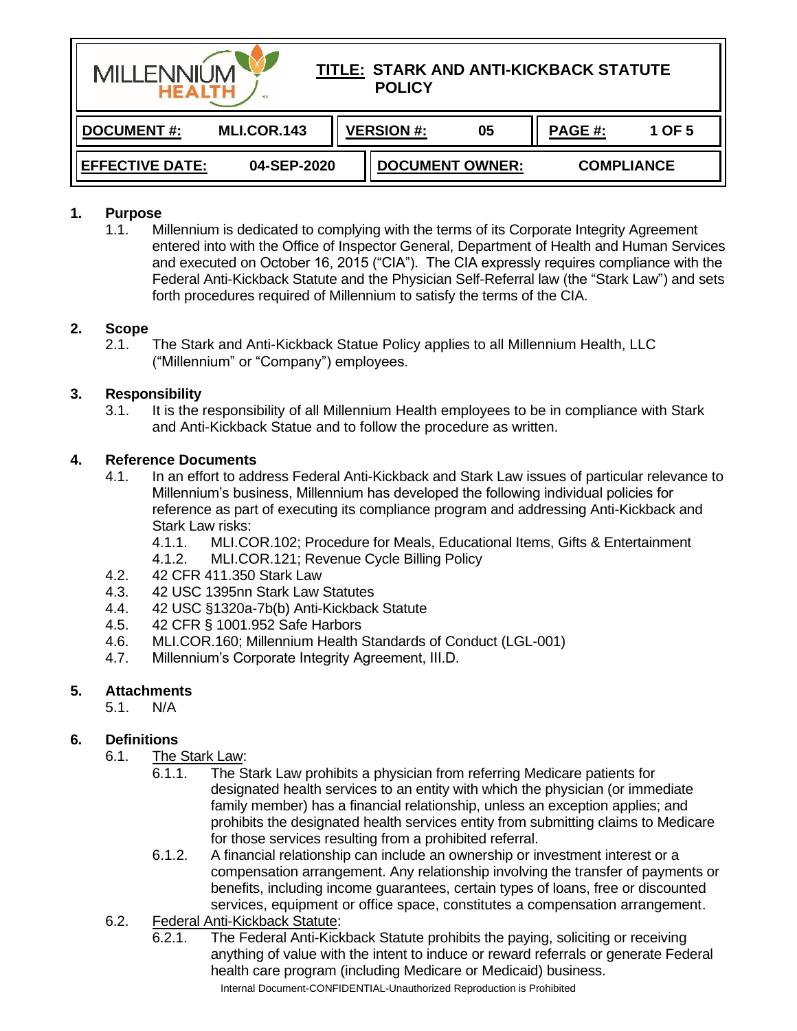| TITLE: STARK AND ANTI-KICKBACK STATUTE<br><b>MILL ENNIL IM</b><br><b>POLICY</b><br><b>HEALTH</b><br>SM |             |  |                        |    |                   |        |
|--------------------------------------------------------------------------------------------------------|-------------|--|------------------------|----|-------------------|--------|
| <b>DOCUMENT#:</b>                                                                                      | MLI.COR.143 |  | <b>VERSION #:</b>      | 05 | PAGE #:           | 1 OF 5 |
| 04-SEP-2020<br><b>EFFECTIVE DATE:</b>                                                                  |             |  | <b>DOCUMENT OWNER:</b> |    | <b>COMPLIANCE</b> |        |

#### **1. Purpose**

1.1. Millennium is dedicated to complying with the terms of its Corporate Integrity Agreement entered into with the Office of Inspector General, Department of Health and Human Services and executed on October 16, 2015 ("CIA"). The CIA expressly requires compliance with the Federal Anti-Kickback Statute and the Physician Self-Referral law (the "Stark Law") and sets forth procedures required of Millennium to satisfy the terms of the CIA.

#### **2. Scope**

2.1. The Stark and Anti-Kickback Statue Policy applies to all Millennium Health, LLC ("Millennium" or "Company") employees.

### **3. Responsibility**

3.1. It is the responsibility of all Millennium Health employees to be in compliance with Stark and Anti-Kickback Statue and to follow the procedure as written.

### **4. Reference Documents**

- 4.1. In an effort to address Federal Anti-Kickback and Stark Law issues of particular relevance to Millennium's business, Millennium has developed the following individual policies for reference as part of executing its compliance program and addressing Anti-Kickback and Stark Law risks:
	- 4.1.1. MLI.COR.102; Procedure for Meals, Educational Items, Gifts & Entertainment
	- 4.1.2. MLI.COR.121; Revenue Cycle Billing Policy
- 4.2. 42 CFR 411.350 Stark Law
- 4.3. 42 USC 1395nn Stark Law Statutes
- 4.4. 42 USC §1320a-7b(b) Anti-Kickback Statute
- 4.5. 42 CFR § 1001.952 Safe Harbors
- 4.6. MLI.COR.160; Millennium Health Standards of Conduct (LGL-001)
- 4.7. Millennium's Corporate Integrity Agreement, III.D.

## **5. Attachments**

5.1. N/A

## **6. Definitions**

- 6.1. The Stark Law:
	- 6.1.1. The Stark Law prohibits a physician from referring Medicare patients for designated health services to an entity with which the physician (or immediate family member) has a financial relationship, unless an exception applies; and prohibits the designated health services entity from submitting claims to Medicare for those services resulting from a prohibited referral.
	- 6.1.2. A financial relationship can include an ownership or investment interest or a compensation arrangement. Any relationship involving the transfer of payments or benefits, including income guarantees, certain types of loans, free or discounted services, equipment or office space, constitutes a compensation arrangement.
- 6.2. Federal Anti-Kickback Statute:
	- Internal Document-CONFIDENTIAL-Unauthorized Reproduction is Prohibited 6.2.1. The Federal Anti-Kickback Statute prohibits the paying, soliciting or receiving anything of value with the intent to induce or reward referrals or generate Federal health care program (including Medicare or Medicaid) business.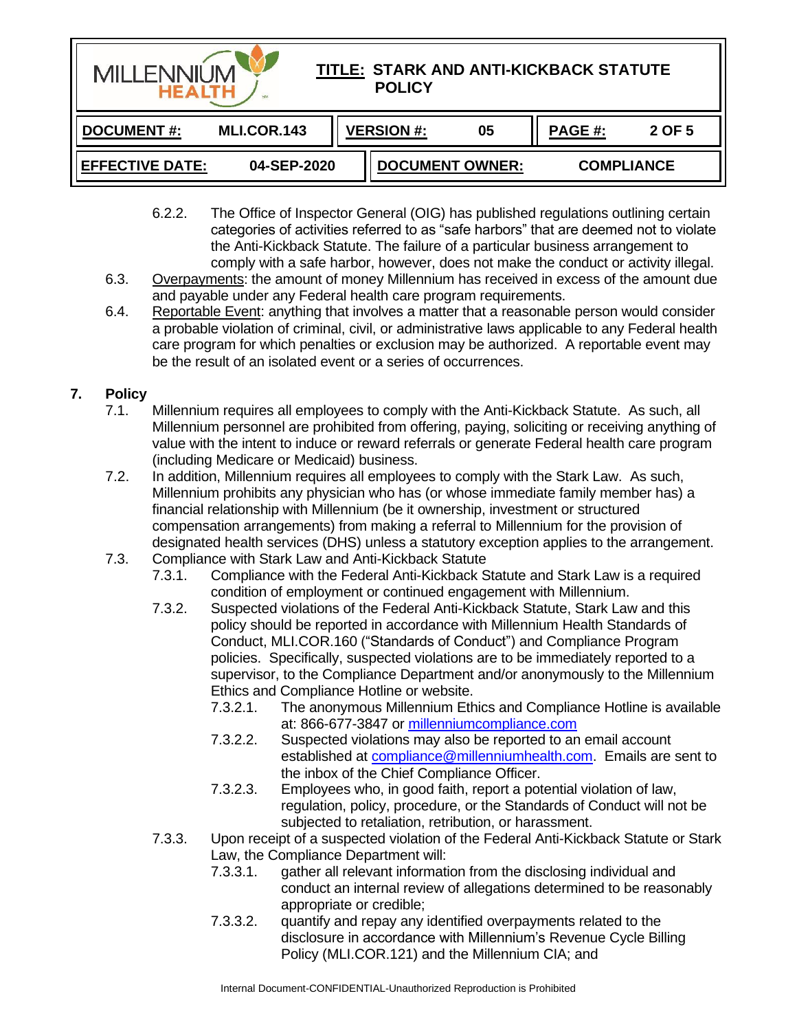| TITLE: STARK AND ANTI-KICKBACK STATUTE<br><b>MILLENNIUN</b><br><b>POLICY</b><br><b>HEALTH</b><br><b>SM</b> |             |                        |    |                   |        |  |
|------------------------------------------------------------------------------------------------------------|-------------|------------------------|----|-------------------|--------|--|
| <b>DOCUMENT#:</b>                                                                                          | MLI.COR.143 | <b>VERSION #:</b>      | 05 | PAGE #:           | 2 OF 5 |  |
| <b>EFFECTIVE DATE:</b><br>04-SEP-2020                                                                      |             | <b>DOCUMENT OWNER:</b> |    | <b>COMPLIANCE</b> |        |  |

- 6.2.2. The Office of Inspector General (OIG) has published regulations outlining certain categories of activities referred to as "safe harbors" that are deemed not to violate the Anti-Kickback Statute. The failure of a particular business arrangement to comply with a safe harbor, however, does not make the conduct or activity illegal.
- 6.3. Overpayments: the amount of money Millennium has received in excess of the amount due and payable under any Federal health care program requirements.
- 6.4. Reportable Event: anything that involves a matter that a reasonable person would consider a probable violation of criminal, civil, or administrative laws applicable to any Federal health care program for which penalties or exclusion may be authorized. A reportable event may be the result of an isolated event or a series of occurrences.

# **7. Policy**

- 7.1. Millennium requires all employees to comply with the Anti-Kickback Statute. As such, all Millennium personnel are prohibited from offering, paying, soliciting or receiving anything of value with the intent to induce or reward referrals or generate Federal health care program (including Medicare or Medicaid) business.
- 7.2. In addition, Millennium requires all employees to comply with the Stark Law. As such, Millennium prohibits any physician who has (or whose immediate family member has) a financial relationship with Millennium (be it ownership, investment or structured compensation arrangements) from making a referral to Millennium for the provision of designated health services (DHS) unless a statutory exception applies to the arrangement.
- 7.3. Compliance with Stark Law and Anti-Kickback Statute
	- 7.3.1. Compliance with the Federal Anti-Kickback Statute and Stark Law is a required condition of employment or continued engagement with Millennium.
	- 7.3.2. Suspected violations of the Federal Anti-Kickback Statute, Stark Law and this policy should be reported in accordance with Millennium Health Standards of Conduct, MLI.COR.160 ("Standards of Conduct") and Compliance Program policies. Specifically, suspected violations are to be immediately reported to a supervisor, to the Compliance Department and/or anonymously to the Millennium Ethics and Compliance Hotline or website.
		- 7.3.2.1. The anonymous Millennium Ethics and Compliance Hotline is available at: 866-677-3847 or [millenniumcompliance.com](https://www.complianceresource.com/hotline/)
		- 7.3.2.2. Suspected violations may also be reported to an email account established at [compliance@millenniumhealth.com.](mailto:compliance@millenniumhealth.com) Emails are sent to the inbox of the Chief Compliance Officer.
		- 7.3.2.3. Employees who, in good faith, report a potential violation of law, regulation, policy, procedure, or the Standards of Conduct will not be subjected to retaliation, retribution, or harassment.
	- 7.3.3. Upon receipt of a suspected violation of the Federal Anti-Kickback Statute or Stark Law, the Compliance Department will:
		- 7.3.3.1. gather all relevant information from the disclosing individual and conduct an internal review of allegations determined to be reasonably appropriate or credible;
		- 7.3.3.2. quantify and repay any identified overpayments related to the disclosure in accordance with Millennium's Revenue Cycle Billing Policy (MLI.COR.121) and the Millennium CIA; and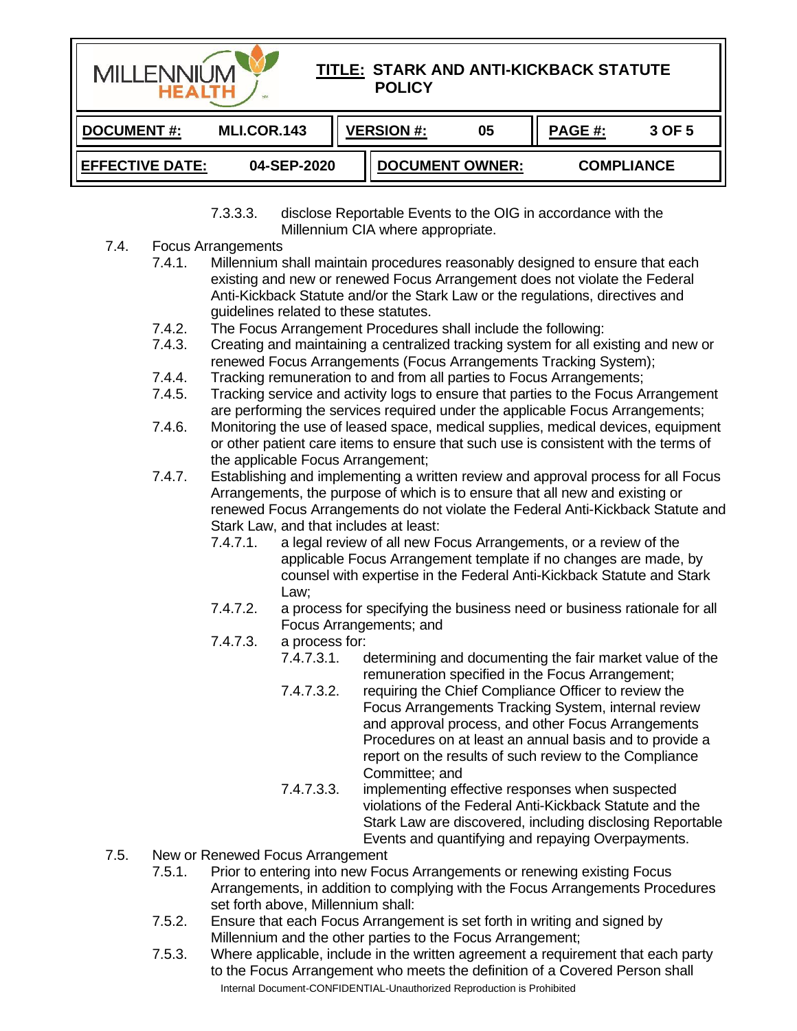

7.3.3.3. disclose Reportable Events to the OIG in accordance with the Millennium CIA where appropriate.

- 7.4. Focus Arrangements
	- 7.4.1. Millennium shall maintain procedures reasonably designed to ensure that each existing and new or renewed Focus Arrangement does not violate the Federal Anti-Kickback Statute and/or the Stark Law or the regulations, directives and guidelines related to these statutes.
	- 7.4.2. The Focus Arrangement Procedures shall include the following:
	- 7.4.3. Creating and maintaining a centralized tracking system for all existing and new or renewed Focus Arrangements (Focus Arrangements Tracking System);
	- 7.4.4. Tracking remuneration to and from all parties to Focus Arrangements;
	- 7.4.5. Tracking service and activity logs to ensure that parties to the Focus Arrangement are performing the services required under the applicable Focus Arrangements;
	- 7.4.6. Monitoring the use of leased space, medical supplies, medical devices, equipment or other patient care items to ensure that such use is consistent with the terms of the applicable Focus Arrangement;
	- 7.4.7. Establishing and implementing a written review and approval process for all Focus Arrangements, the purpose of which is to ensure that all new and existing or renewed Focus Arrangements do not violate the Federal Anti-Kickback Statute and Stark Law, and that includes at least:
		- 7.4.7.1. a legal review of all new Focus Arrangements, or a review of the applicable Focus Arrangement template if no changes are made, by counsel with expertise in the Federal Anti-Kickback Statute and Stark Law;
		- 7.4.7.2. a process for specifying the business need or business rationale for all Focus Arrangements; and
		- 7.4.7.3. a process for:
			- determining and documenting the fair market value of the remuneration specified in the Focus Arrangement;
			- 7.4.7.3.2. requiring the Chief Compliance Officer to review the Focus Arrangements Tracking System, internal review and approval process, and other Focus Arrangements Procedures on at least an annual basis and to provide a report on the results of such review to the Compliance Committee; and
			- 7.4.7.3.3. implementing effective responses when suspected violations of the Federal Anti-Kickback Statute and the Stark Law are discovered, including disclosing Reportable Events and quantifying and repaying Overpayments.
- 7.5. New or Renewed Focus Arrangement
	- 7.5.1. Prior to entering into new Focus Arrangements or renewing existing Focus Arrangements, in addition to complying with the Focus Arrangements Procedures set forth above, Millennium shall:
	- 7.5.2. Ensure that each Focus Arrangement is set forth in writing and signed by Millennium and the other parties to the Focus Arrangement;
	- Internal Document-CONFIDENTIAL-Unauthorized Reproduction is Prohibited 7.5.3. Where applicable, include in the written agreement a requirement that each party to the Focus Arrangement who meets the definition of a Covered Person shall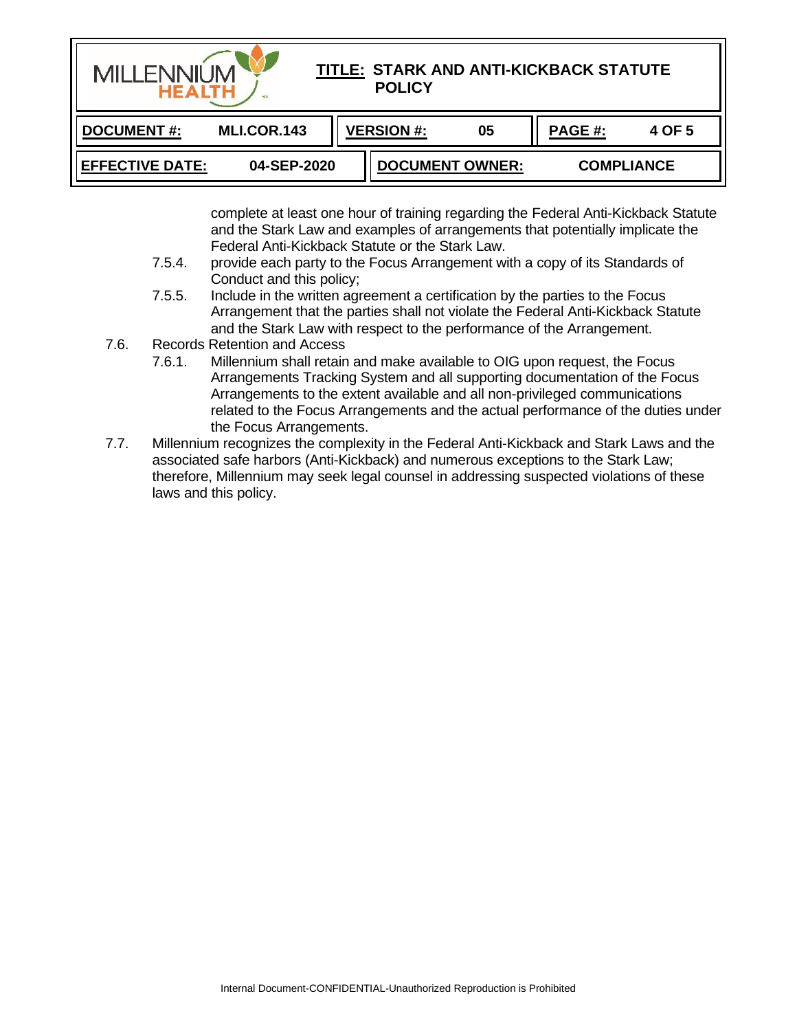| TITLE: STARK AND ANTI-KICKBACK STATUTE<br><b>MILLENNIUN</b><br><b>POLICY</b><br><b>HEALTH</b><br>SM. |             |                         |                        |        |                   |  |  |
|------------------------------------------------------------------------------------------------------|-------------|-------------------------|------------------------|--------|-------------------|--|--|
| <b>DOCUMENT#:</b>                                                                                    | MLI.COR.143 | <b>VERSION #:</b><br>05 |                        | PAGE#: | 4 OF 5            |  |  |
| <b>EFFECTIVE DATE:</b>                                                                               | 04-SEP-2020 |                         | <b>DOCUMENT OWNER:</b> |        | <b>COMPLIANCE</b> |  |  |

complete at least one hour of training regarding the Federal Anti-Kickback Statute and the Stark Law and examples of arrangements that potentially implicate the Federal Anti-Kickback Statute or the Stark Law.

- 7.5.4. provide each party to the Focus Arrangement with a copy of its Standards of Conduct and this policy;
- 7.5.5. Include in the written agreement a certification by the parties to the Focus Arrangement that the parties shall not violate the Federal Anti-Kickback Statute and the Stark Law with respect to the performance of the Arrangement.
- 7.6. Records Retention and Access
	- 7.6.1. Millennium shall retain and make available to OIG upon request, the Focus Arrangements Tracking System and all supporting documentation of the Focus Arrangements to the extent available and all non-privileged communications related to the Focus Arrangements and the actual performance of the duties under the Focus Arrangements.
- 7.7. Millennium recognizes the complexity in the Federal Anti-Kickback and Stark Laws and the associated safe harbors (Anti-Kickback) and numerous exceptions to the Stark Law; therefore, Millennium may seek legal counsel in addressing suspected violations of these laws and this policy.